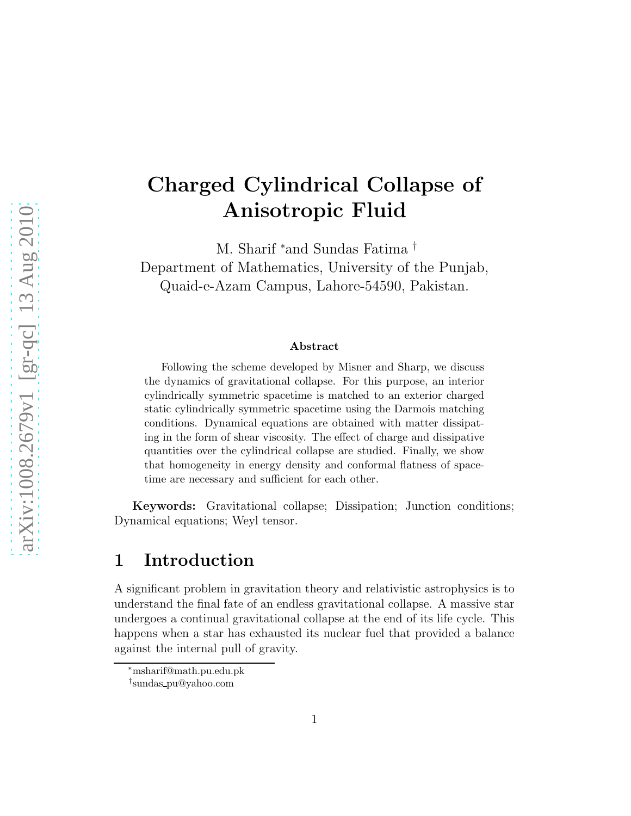# Charged Cylindrical Collapse of Anisotropic Fluid

M. Sharif <sup>∗</sup>and Sundas Fatima † Department of Mathematics, University of the Punjab, Quaid-e-Azam Campus, Lahore-54590, Pakistan.

#### Abstract

Following the scheme developed by Misner and Sharp, we discuss the dynamics of gravitational collapse. For this purpose, an interior cylindrically symmetric spacetime is matched to an exterior charged static cylindrically symmetric spacetime using the Darmois matching conditions. Dynamical equations are obtained with matter dissipating in the form of shear viscosity. The effect of charge and dissipative quantities over the cylindrical collapse are studied. Finally, we show that homogeneity in energy density and conformal flatness of spacetime are necessary and sufficient for each other.

Keywords: Gravitational collapse; Dissipation; Junction conditions; Dynamical equations; Weyl tensor.

#### 1 Introduction

A significant problem in gravitation theory and relativistic astrophysics is to understand the final fate of an endless gravitational collapse. A massive star undergoes a continual gravitational collapse at the end of its life cycle. This happens when a star has exhausted its nuclear fuel that provided a balance against the internal pull of gravity.

<sup>∗</sup>msharif@math.pu.edu.pk

<sup>†</sup> sundas pu@yahoo.com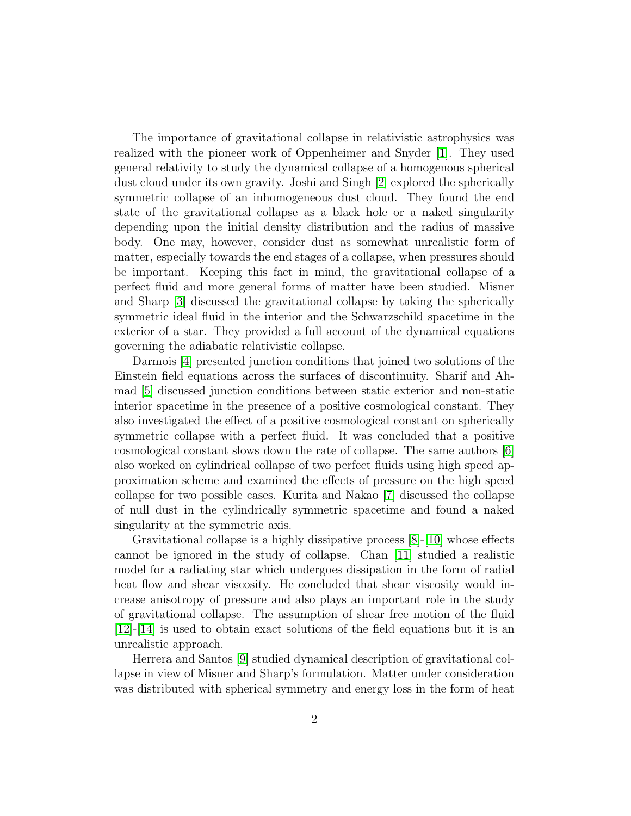The importance of gravitational collapse in relativistic astrophysics was realized with the pioneer work of Oppenheimer and Snyder [\[1\]](#page-16-0). They used general relativity to study the dynamical collapse of a homogenous spherical dust cloud under its own gravity. Joshi and Singh [\[2\]](#page-17-0) explored the spherically symmetric collapse of an inhomogeneous dust cloud. They found the end state of the gravitational collapse as a black hole or a naked singularity depending upon the initial density distribution and the radius of massive body. One may, however, consider dust as somewhat unrealistic form of matter, especially towards the end stages of a collapse, when pressures should be important. Keeping this fact in mind, the gravitational collapse of a perfect fluid and more general forms of matter have been studied. Misner and Sharp [\[3\]](#page-17-1) discussed the gravitational collapse by taking the spherically symmetric ideal fluid in the interior and the Schwarzschild spacetime in the exterior of a star. They provided a full account of the dynamical equations governing the adiabatic relativistic collapse.

Darmois [\[4\]](#page-17-2) presented junction conditions that joined two solutions of the Einstein field equations across the surfaces of discontinuity. Sharif and Ahmad [\[5\]](#page-17-3) discussed junction conditions between static exterior and non-static interior spacetime in the presence of a positive cosmological constant. They also investigated the effect of a positive cosmological constant on spherically symmetric collapse with a perfect fluid. It was concluded that a positive cosmological constant slows down the rate of collapse. The same authors [\[6\]](#page-17-4) also worked on cylindrical collapse of two perfect fluids using high speed approximation scheme and examined the effects of pressure on the high speed collapse for two possible cases. Kurita and Nakao [\[7\]](#page-17-5) discussed the collapse of null dust in the cylindrically symmetric spacetime and found a naked singularity at the symmetric axis.

Gravitational collapse is a highly dissipative process  $|8|$ -[\[10\]](#page-17-7) whose effects cannot be ignored in the study of collapse. Chan [\[11\]](#page-17-8) studied a realistic model for a radiating star which undergoes dissipation in the form of radial heat flow and shear viscosity. He concluded that shear viscosity would increase anisotropy of pressure and also plays an important role in the study of gravitational collapse. The assumption of shear free motion of the fluid [\[12\]](#page-17-9)-[\[14\]](#page-17-10) is used to obtain exact solutions of the field equations but it is an unrealistic approach.

Herrera and Santos [\[9\]](#page-17-11) studied dynamical description of gravitational collapse in view of Misner and Sharp's formulation. Matter under consideration was distributed with spherical symmetry and energy loss in the form of heat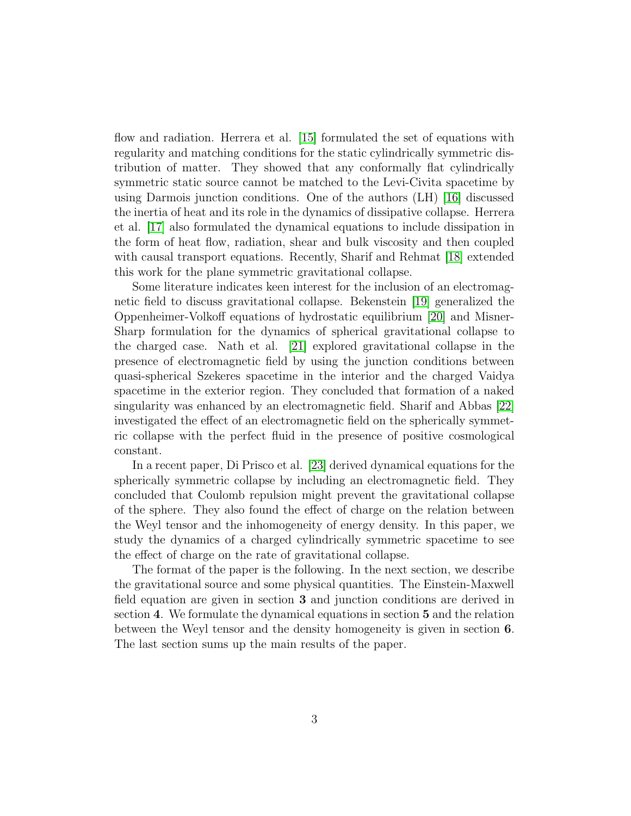flow and radiation. Herrera et al. [\[15\]](#page-17-12) formulated the set of equations with regularity and matching conditions for the static cylindrically symmetric distribution of matter. They showed that any conformally flat cylindrically symmetric static source cannot be matched to the Levi-Civita spacetime by using Darmois junction conditions. One of the authors (LH) [\[16\]](#page-17-13) discussed the inertia of heat and its role in the dynamics of dissipative collapse. Herrera et al. [\[17\]](#page-17-14) also formulated the dynamical equations to include dissipation in the form of heat flow, radiation, shear and bulk viscosity and then coupled with causal transport equations. Recently, Sharif and Rehmat [\[18\]](#page-17-15) extended this work for the plane symmetric gravitational collapse.

Some literature indicates keen interest for the inclusion of an electromagnetic field to discuss gravitational collapse. Bekenstein [\[19\]](#page-17-16) generalized the Oppenheimer-Volkoff equations of hydrostatic equilibrium [\[20\]](#page-17-17) and Misner-Sharp formulation for the dynamics of spherical gravitational collapse to the charged case. Nath et al. [\[21\]](#page-18-0) explored gravitational collapse in the presence of electromagnetic field by using the junction conditions between quasi-spherical Szekeres spacetime in the interior and the charged Vaidya spacetime in the exterior region. They concluded that formation of a naked singularity was enhanced by an electromagnetic field. Sharif and Abbas [\[22\]](#page-18-1) investigated the effect of an electromagnetic field on the spherically symmetric collapse with the perfect fluid in the presence of positive cosmological constant.

In a recent paper, Di Prisco et al. [\[23\]](#page-18-2) derived dynamical equations for the spherically symmetric collapse by including an electromagnetic field. They concluded that Coulomb repulsion might prevent the gravitational collapse of the sphere. They also found the effect of charge on the relation between the Weyl tensor and the inhomogeneity of energy density. In this paper, we study the dynamics of a charged cylindrically symmetric spacetime to see the effect of charge on the rate of gravitational collapse.

The format of the paper is the following. In the next section, we describe the gravitational source and some physical quantities. The Einstein-Maxwell field equation are given in section 3 and junction conditions are derived in section 4. We formulate the dynamical equations in section 5 and the relation between the Weyl tensor and the density homogeneity is given in section 6. The last section sums up the main results of the paper.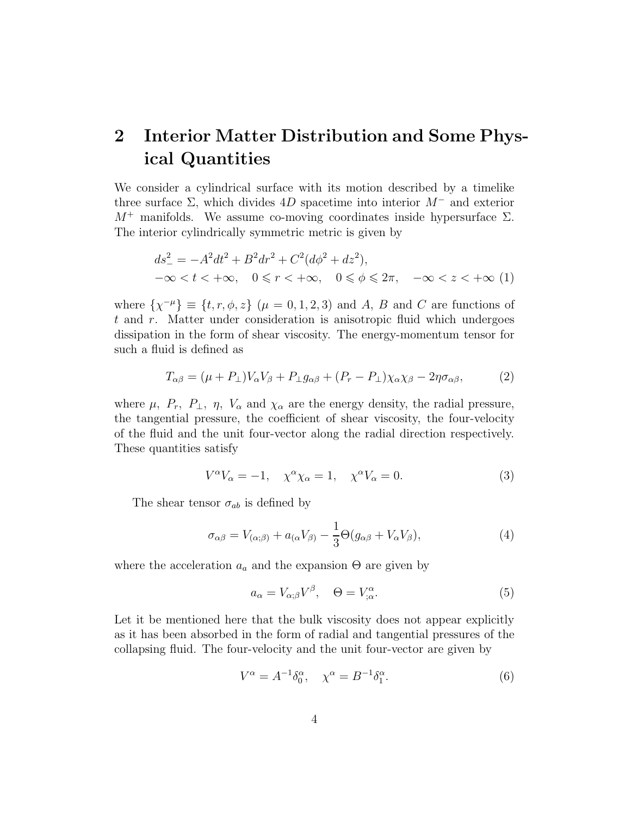# 2 Interior Matter Distribution and Some Physical Quantities

We consider a cylindrical surface with its motion described by a timelike three surface  $\Sigma$ , which divides 4D spacetime into interior  $M^-$  and exterior  $M^+$  manifolds. We assume co-moving coordinates inside hypersurface  $\Sigma$ . The interior cylindrically symmetric metric is given by

<span id="page-3-3"></span>
$$
ds_{-}^{2} = -A^{2}dt^{2} + B^{2}dr^{2} + C^{2}(d\phi^{2} + dz^{2}),
$$
  

$$
-\infty < t < +\infty, \quad 0 \leq r < +\infty, \quad 0 \leq \phi \leq 2\pi, \quad -\infty < z < +\infty
$$
 (1)

where  $\{\chi^{-\mu}\}\equiv \{t, r, \phi, z\}$   $(\mu = 0, 1, 2, 3)$  and A, B and C are functions of  $t$  and  $r$ . Matter under consideration is anisotropic fluid which undergoes dissipation in the form of shear viscosity. The energy-momentum tensor for such a fluid is defined as

<span id="page-3-4"></span>
$$
T_{\alpha\beta} = (\mu + P_{\perp})V_{\alpha}V_{\beta} + P_{\perp}g_{\alpha\beta} + (P_r - P_{\perp})\chi_{\alpha}\chi_{\beta} - 2\eta\sigma_{\alpha\beta},\tag{2}
$$

where  $\mu$ ,  $P_r$ ,  $P_\perp$ ,  $\eta$ ,  $V_\alpha$  and  $\chi_\alpha$  are the energy density, the radial pressure, the tangential pressure, the coefficient of shear viscosity, the four-velocity of the fluid and the unit four-vector along the radial direction respectively. These quantities satisfy

$$
V^{\alpha}V_{\alpha} = -1, \quad \chi^{\alpha}\chi_{\alpha} = 1, \quad \chi^{\alpha}V_{\alpha} = 0. \tag{3}
$$

The shear tensor  $\sigma_{ab}$  is defined by

<span id="page-3-0"></span>
$$
\sigma_{\alpha\beta} = V_{(\alpha;\beta)} + a_{(\alpha}V_{\beta)} - \frac{1}{3}\Theta(g_{\alpha\beta} + V_{\alpha}V_{\beta}),\tag{4}
$$

where the acceleration  $a_a$  and the expansion  $\Theta$  are given by

<span id="page-3-2"></span>
$$
a_{\alpha} = V_{\alpha;\beta}V^{\beta}, \quad \Theta = V^{\alpha}_{;\alpha}.
$$

Let it be mentioned here that the bulk viscosity does not appear explicitly as it has been absorbed in the form of radial and tangential pressures of the collapsing fluid. The four-velocity and the unit four-vector are given by

<span id="page-3-1"></span>
$$
V^{\alpha} = A^{-1} \delta_0^{\alpha}, \quad \chi^{\alpha} = B^{-1} \delta_1^{\alpha}.
$$
 (6)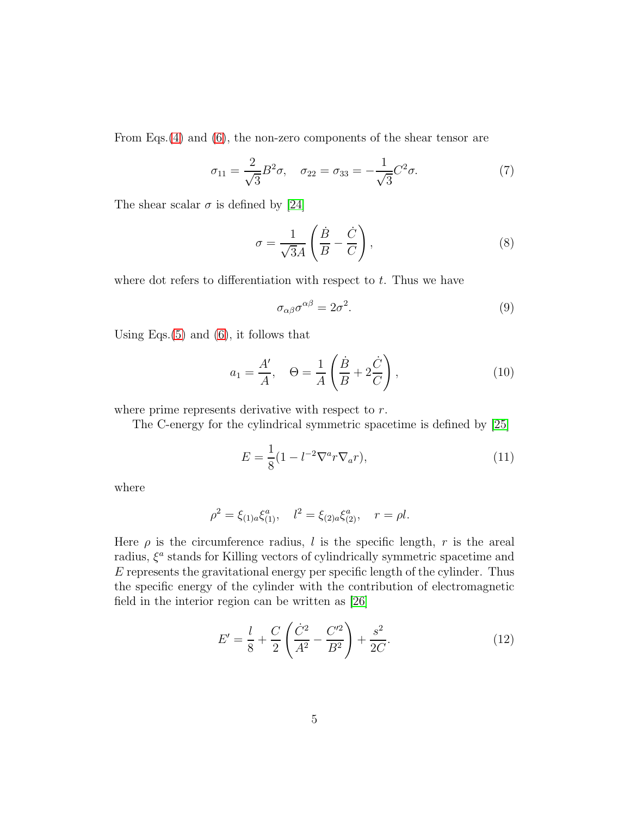From Eqs.[\(4\)](#page-3-0) and [\(6\)](#page-3-1), the non-zero components of the shear tensor are

$$
\sigma_{11} = \frac{2}{\sqrt{3}} B^2 \sigma, \quad \sigma_{22} = \sigma_{33} = -\frac{1}{\sqrt{3}} C^2 \sigma.
$$
 (7)

The shear scalar  $\sigma$  is defined by [\[24\]](#page-18-3)

$$
\sigma = \frac{1}{\sqrt{3}A} \left( \frac{\dot{B}}{B} - \frac{\dot{C}}{C} \right),\tag{8}
$$

where dot refers to differentiation with respect to  $t$ . Thus we have

$$
\sigma_{\alpha\beta}\sigma^{\alpha\beta} = 2\sigma^2. \tag{9}
$$

Using Eqs. $(5)$  and  $(6)$ , it follows that

$$
a_1 = \frac{A'}{A}, \quad \Theta = \frac{1}{A} \left( \frac{\dot{B}}{B} + 2\frac{\dot{C}}{C} \right), \tag{10}
$$

where prime represents derivative with respect to r.

The C-energy for the cylindrical symmetric spacetime is defined by [\[25\]](#page-18-4)

$$
E = \frac{1}{8}(1 - l^{-2}\nabla^a r \nabla_a r),
$$
\n(11)

where

$$
\rho^2 = \xi_{(1)a}\xi_{(1)}^a, \quad l^2 = \xi_{(2)a}\xi_{(2)}^a, \quad r = \rho l.
$$

Here  $\rho$  is the circumference radius, l is the specific length, r is the areal radius,  $\xi^a$  stands for Killing vectors of cylindrically symmetric spacetime and E represents the gravitational energy per specific length of the cylinder. Thus the specific energy of the cylinder with the contribution of electromagnetic field in the interior region can be written as [\[26\]](#page-18-5)

<span id="page-4-0"></span>
$$
E' = \frac{l}{8} + \frac{C}{2} \left( \frac{\dot{C}^2}{A^2} - \frac{C'^2}{B^2} \right) + \frac{s^2}{2C}.
$$
 (12)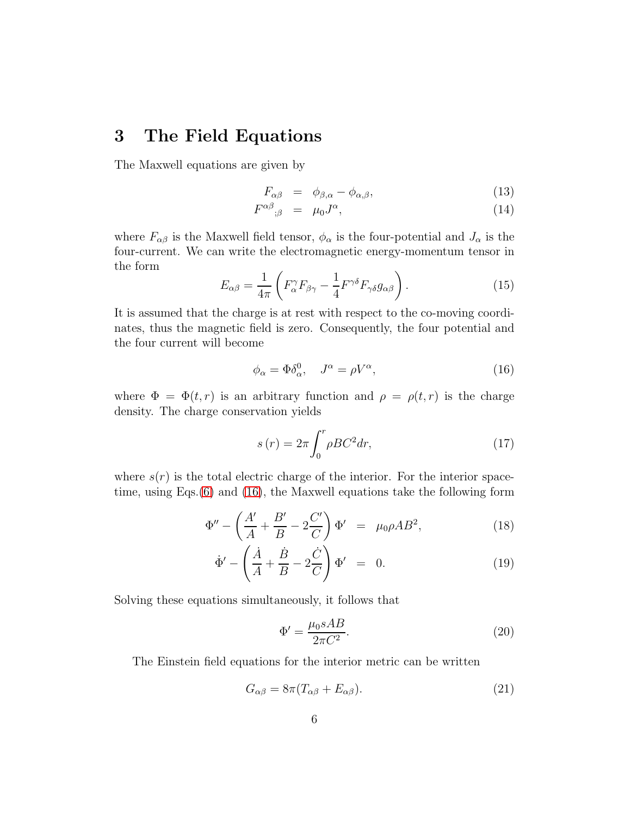#### 3 The Field Equations

The Maxwell equations are given by

$$
F_{\alpha\beta} = \phi_{\beta,\alpha} - \phi_{\alpha,\beta}, \qquad (13)
$$

$$
F^{\alpha\beta}{}_{;\beta} = \mu_0 J^{\alpha}, \tag{14}
$$

where  $F_{\alpha\beta}$  is the Maxwell field tensor,  $\phi_{\alpha}$  is the four-potential and  $J_{\alpha}$  is the four-current. We can write the electromagnetic energy-momentum tensor in the form

<span id="page-5-1"></span>
$$
E_{\alpha\beta} = \frac{1}{4\pi} \left( F_{\alpha}^{\gamma} F_{\beta\gamma} - \frac{1}{4} F^{\gamma\delta} F_{\gamma\delta} g_{\alpha\beta} \right). \tag{15}
$$

It is assumed that the charge is at rest with respect to the co-moving coordinates, thus the magnetic field is zero. Consequently, the four potential and the four current will become

<span id="page-5-0"></span>
$$
\phi_{\alpha} = \Phi \delta_{\alpha}^{0}, \quad J^{\alpha} = \rho V^{\alpha}, \tag{16}
$$

where  $\Phi = \Phi(t,r)$  is an arbitrary function and  $\rho = \rho(t,r)$  is the charge density. The charge conservation yields

<span id="page-5-3"></span>
$$
s(r) = 2\pi \int_0^r \rho B C^2 dr,\tag{17}
$$

where  $s(r)$  is the total electric charge of the interior. For the interior spacetime, using Eqs.[\(6\)](#page-3-1) and [\(16\)](#page-5-0), the Maxwell equations take the following form

$$
\Phi'' - \left(\frac{A'}{A} + \frac{B'}{B} - 2\frac{C'}{C}\right)\Phi' = \mu_0 \rho A B^2, \tag{18}
$$

$$
\dot{\Phi}' - \left(\frac{\dot{A}}{A} + \frac{\dot{B}}{B} - 2\frac{\dot{C}}{C}\right)\Phi' = 0.
$$
\n(19)

Solving these equations simultaneously, it follows that

<span id="page-5-2"></span>
$$
\Phi' = \frac{\mu_0 sAB}{2\pi C^2}.\tag{20}
$$

The Einstein field equations for the interior metric can be written

$$
G_{\alpha\beta} = 8\pi (T_{\alpha\beta} + E_{\alpha\beta}).
$$
\n(21)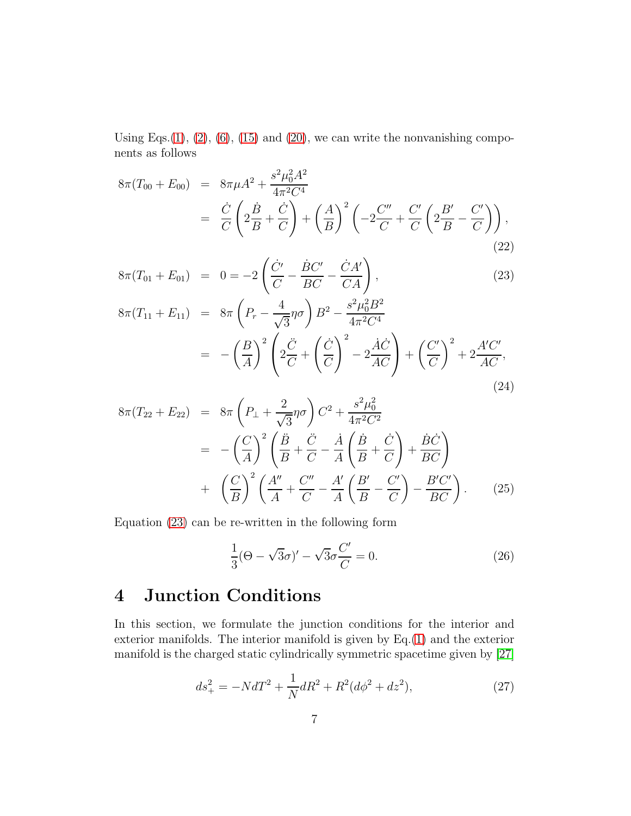Using Eqs. $(1)$ ,  $(2)$ ,  $(6)$ ,  $(15)$  and  $(20)$ , we can write the nonvanishing components as follows

<span id="page-6-0"></span>
$$
8\pi(T_{00} + E_{00}) = 8\pi\mu A^2 + \frac{s^2\mu_0^2 A^2}{4\pi^2 C^4}
$$
  
=  $\frac{\dot{C}}{C} \left( 2\frac{\dot{B}}{B} + \frac{\dot{C}}{C} \right) + \left( \frac{A}{B} \right)^2 \left( -2\frac{C''}{C} + \frac{C'}{C} \left( 2\frac{B'}{B} - \frac{C'}{C} \right) \right),$  (22)

$$
8\pi (T_{01} + E_{01}) = 0 = -2 \left( \frac{\dot{C}'}{C} - \frac{\dot{B}C'}{BC} - \frac{\dot{C}A'}{CA} \right),
$$
\n
$$
8\pi (T_{11} + E_{11}) = 8\pi \left( P_r - \frac{4}{\sqrt{3}} \eta \sigma \right) B^2 - \frac{s^2 \mu_0^2 B^2}{4\pi^2 C^4}
$$
\n
$$
(B)^2 \left( \ddot{C} \right)^2 \dot{A} \dot{C} \right) = (C')^2 \dot{A} \dot{C}
$$
\n
$$
(C')^2 = 4/C'
$$

$$
= -\left(\frac{B}{A}\right)^2 \left(2\frac{\ddot{C}}{C} + \left(\frac{\dot{C}}{C}\right)^2 - 2\frac{\dot{A}\dot{C}}{AC}\right) + \left(\frac{C'}{C}\right)^2 + 2\frac{A'C'}{AC},\tag{24}
$$

$$
8\pi (T_{22} + E_{22}) = 8\pi \left( P_{\perp} + \frac{2}{\sqrt{3}} \eta \sigma \right) C^2 + \frac{s^2 \mu_0^2}{4\pi^2 C^2} \n= -\left( \frac{C}{A} \right)^2 \left( \frac{\ddot{B}}{B} + \frac{\ddot{C}}{C} - \frac{\dot{A}}{A} \left( \frac{\dot{B}}{B} + \frac{\dot{C}}{C} \right) + \frac{\dot{B}\dot{C}}{BC} \right) \n+ \left( \frac{C}{B} \right)^2 \left( \frac{A''}{A} + \frac{C''}{C} - \frac{A'}{A} \left( \frac{B'}{B} - \frac{C'}{C} \right) - \frac{B'C'}{BC} \right).
$$
\n(25)

Equation [\(23\)](#page-6-0) can be re-written in the following form

<span id="page-6-2"></span>
$$
\frac{1}{3}(\Theta - \sqrt{3}\sigma)' - \sqrt{3}\sigma \frac{C'}{C} = 0.
$$
 (26)

# 4 Junction Conditions

In this section, we formulate the junction conditions for the interior and exterior manifolds. The interior manifold is given by  $Eq.(1)$  $Eq.(1)$  and the exterior manifold is the charged static cylindrically symmetric spacetime given by [\[27\]](#page-18-6)

<span id="page-6-1"></span>
$$
ds_{+}^{2} = -NdT^{2} + \frac{1}{N}dR^{2} + R^{2}(d\phi^{2} + dz^{2}),
$$
\n(27)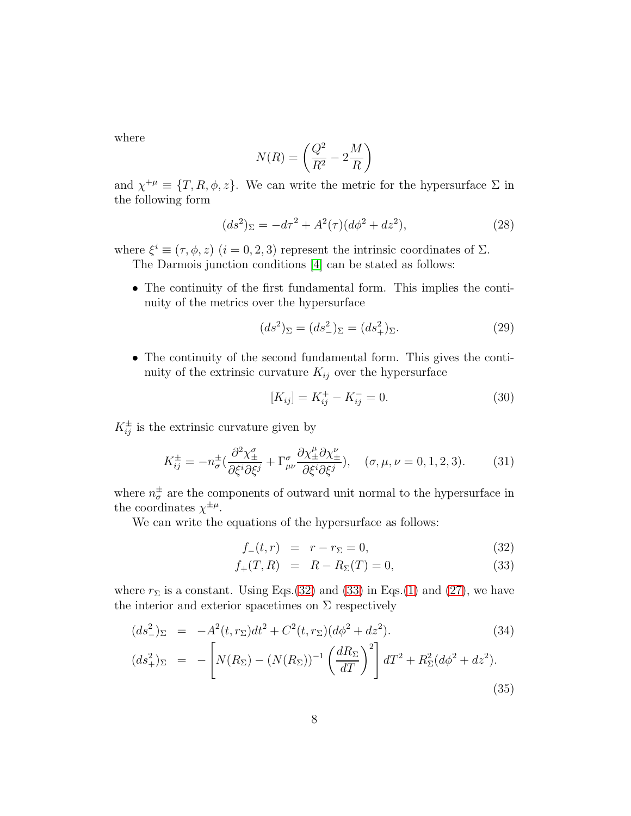where

$$
N(R) = \left(\frac{Q^2}{R^2} - 2\frac{M}{R}\right)
$$

and  $\chi^{+\mu} \equiv \{T, R, \phi, z\}$ . We can write the metric for the hypersurface  $\Sigma$  in the following form

$$
(ds2)\Sigma = -d\tau2 + A2(\tau)(d\phi2 + dz2),
$$
\n(28)

where  $\xi^i \equiv (\tau, \phi, z)$   $(i = 0, 2, 3)$  represent the intrinsic coordinates of  $\Sigma$ .

The Darmois junction conditions [\[4\]](#page-17-2) can be stated as follows:

• The continuity of the first fundamental form. This implies the continuity of the metrics over the hypersurface

$$
(ds^2)_{\Sigma} = (ds^2_{-})_{\Sigma} = (ds^2_{+})_{\Sigma}.
$$
 (29)

• The continuity of the second fundamental form. This gives the continuity of the extrinsic curvature  $K_{ij}$  over the hypersurface

<span id="page-7-1"></span>
$$
[K_{ij}] = K_{ij}^{+} - K_{ij}^{-} = 0.
$$
 (30)

 $K_{ij}^{\pm}$  is the extrinsic curvature given by

$$
K_{ij}^{\pm} = -n_{\sigma}^{\pm} \left( \frac{\partial^2 \chi_{\pm}^{\sigma}}{\partial \xi^i \partial \xi^j} + \Gamma_{\mu\nu}^{\sigma} \frac{\partial \chi_{\pm}^{\mu} \partial \chi_{\pm}^{\nu}}{\partial \xi^i \partial \xi^j} \right), \quad (\sigma, \mu, \nu = 0, 1, 2, 3). \tag{31}
$$

where  $n_{\sigma}^{\pm}$  $\frac{1}{\sigma}$  are the components of outward unit normal to the hypersurface in the coordinates  $\chi^{\pm \mu}$ .

We can write the equations of the hypersurface as follows:

<span id="page-7-0"></span>
$$
f_{-}(t,r) = r - r_{\Sigma} = 0,
$$
\n(32)

$$
f_{+}(T,R) = R - R_{\Sigma}(T) = 0,
$$
\n(33)

where  $r_{\Sigma}$  is a constant. Using Eqs.[\(32\)](#page-7-0) and [\(33\)](#page-7-0) in Eqs.[\(1\)](#page-3-3) and [\(27\)](#page-6-1), we have the interior and exterior spacetimes on  $\Sigma$  respectively

$$
(ds_{-}^{2})_{\Sigma} = -A^{2}(t, r_{\Sigma})dt^{2} + C^{2}(t, r_{\Sigma})(d\phi^{2} + dz^{2}). \qquad (34)
$$
  

$$
(ds_{+}^{2})_{\Sigma} = -\left[N(R_{\Sigma}) - (N(R_{\Sigma}))^{-1}\left(\frac{dR_{\Sigma}}{dT}\right)^{2}\right]dT^{2} + R_{\Sigma}^{2}(d\phi^{2} + dz^{2}). \qquad (35)
$$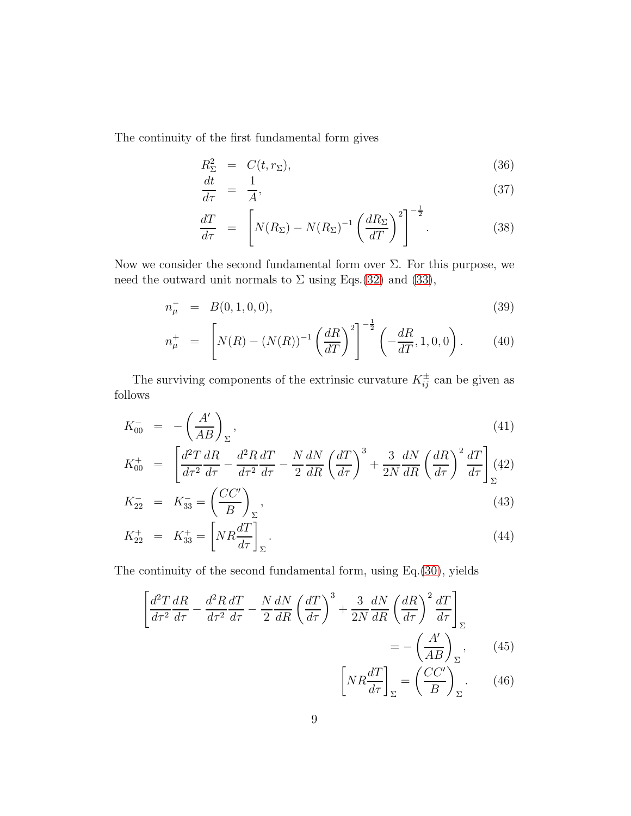The continuity of the first fundamental form gives

<span id="page-8-0"></span>
$$
R_{\Sigma}^{2} = C(t, r_{\Sigma}), \qquad (36)
$$

$$
dt = 1 \qquad (27)
$$

$$
\frac{du}{d\tau} = \frac{1}{A},\tag{37}
$$

$$
\frac{dT}{d\tau} = \left[ N(R_{\Sigma}) - N(R_{\Sigma})^{-1} \left( \frac{dR_{\Sigma}}{dT} \right)^{2} \right]^{-\frac{1}{2}}.
$$
\n(38)

Now we consider the second fundamental form over  $\Sigma$ . For this purpose, we need the outward unit normals to  $\Sigma$  using Eqs.[\(32\)](#page-7-0) and [\(33\)](#page-7-0),

$$
n_{\mu}^- = B(0, 1, 0, 0), \tag{39}
$$

$$
n_{\mu}^{+} = \left[ N(R) - (N(R))^{-1} \left( \frac{dR}{dT} \right)^{2} \right]^{-\frac{1}{2}} \left( -\frac{dR}{dT}, 1, 0, 0 \right). \tag{40}
$$

The surviving components of the extrinsic curvature  $K_{ij}^{\pm}$  can be given as follows

$$
K_{00}^- = -\left(\frac{A'}{AB}\right)_{\Sigma},\tag{41}
$$

$$
K_{00}^{+} = \left[ \frac{d^{2}T}{d\tau^{2}} \frac{dR}{d\tau} - \frac{d^{2}R}{d\tau^{2}} \frac{dT}{d\tau} - \frac{N}{2} \frac{dN}{dR} \left( \frac{dT}{d\tau} \right)^{3} + \frac{3}{2N} \frac{dN}{dR} \left( \frac{dR}{d\tau} \right)^{2} \frac{dT}{d\tau} \right]_{\Sigma} (42)
$$

$$
K_{22}^- = K_{33}^- = \left(\frac{CC'}{B}\right)_{\Sigma},\tag{43}
$$

$$
K_{22}^{+} = K_{33}^{+} = \left[ NR \frac{dT}{d\tau} \right]_{\Sigma}.
$$
\n(44)

The continuity of the second fundamental form, using Eq.[\(30\)](#page-7-1), yields

<span id="page-8-1"></span>
$$
\left[\frac{d^2T}{d\tau^2}\frac{dR}{d\tau} - \frac{d^2R}{d\tau^2}\frac{dT}{d\tau} - \frac{N}{2}\frac{dN}{dR}\left(\frac{dT}{d\tau}\right)^3 + \frac{3}{2N}\frac{dN}{dR}\left(\frac{dR}{d\tau}\right)^2\frac{dT}{d\tau}\right]_{\Sigma}
$$

$$
= -\left(\frac{A'}{AB}\right)_{\Sigma},\tag{45}
$$

$$
\left[NR\frac{dT}{d\tau}\right]_{\Sigma} = \left(\frac{CC'}{B}\right)_{\Sigma}.
$$
 (46)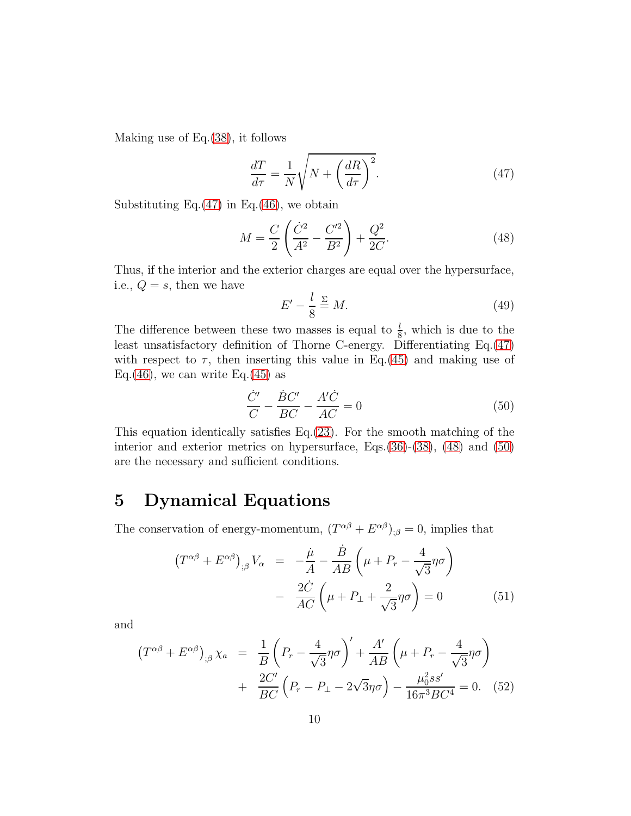Making use of Eq.[\(38\)](#page-8-0), it follows

<span id="page-9-0"></span>
$$
\frac{dT}{d\tau} = \frac{1}{N} \sqrt{N + \left(\frac{dR}{d\tau}\right)^2}.
$$
\n(47)

Substituting Eq. $(47)$  in Eq. $(46)$ , we obtain

<span id="page-9-1"></span>
$$
M = \frac{C}{2} \left( \frac{\dot{C}^2}{A^2} - \frac{C'^2}{B^2} \right) + \frac{Q^2}{2C}.
$$
 (48)

Thus, if the interior and the exterior charges are equal over the hypersurface, i.e.,  $Q = s$ , then we have

$$
E' - \frac{l}{8} \stackrel{\Sigma}{=} M. \tag{49}
$$

The difference between these two masses is equal to  $\frac{l}{8}$ , which is due to the least unsatisfactory definition of Thorne C-energy. Differentiating Eq.[\(47\)](#page-9-0) with respect to  $\tau$ , then inserting this value in Eq.[\(45\)](#page-8-1) and making use of Eq.[\(46\)](#page-8-1), we can write Eq.[\(45\)](#page-8-1) as

<span id="page-9-2"></span>
$$
\frac{\dot{C}'}{C} - \frac{\dot{B}C'}{BC} - \frac{A'\dot{C}}{AC} = 0\tag{50}
$$

This equation identically satisfies Eq.[\(23\)](#page-6-0). For the smooth matching of the interior and exterior metrics on hypersurface, Eqs.[\(36\)](#page-8-0)-[\(38\)](#page-8-0), [\(48\)](#page-9-1) and [\(50\)](#page-9-2) are the necessary and sufficient conditions.

### 5 Dynamical Equations

The conservation of energy-momentum,  $(T^{\alpha\beta} + E^{\alpha\beta})_{;\beta} = 0$ , implies that

$$
(T^{\alpha\beta} + E^{\alpha\beta})_{;\beta} V_{\alpha} = -\frac{\dot{\mu}}{A} - \frac{\dot{B}}{AB} \left( \mu + P_r - \frac{4}{\sqrt{3}} \eta \sigma \right)
$$

$$
- \frac{2\dot{C}}{AC} \left( \mu + P_{\perp} + \frac{2}{\sqrt{3}} \eta \sigma \right) = 0 \tag{51}
$$

and

<span id="page-9-3"></span>
$$
(T^{\alpha\beta} + E^{\alpha\beta})_{;\beta} \chi_a = \frac{1}{B} \left( P_r - \frac{4}{\sqrt{3}} \eta \sigma \right)' + \frac{A'}{AB} \left( \mu + P_r - \frac{4}{\sqrt{3}} \eta \sigma \right)
$$

$$
+ \frac{2C'}{BC} \left( P_r - P_\perp - 2\sqrt{3}\eta \sigma \right) - \frac{\mu_0^2 s s'}{16\pi^3 BC^4} = 0. \quad (52)
$$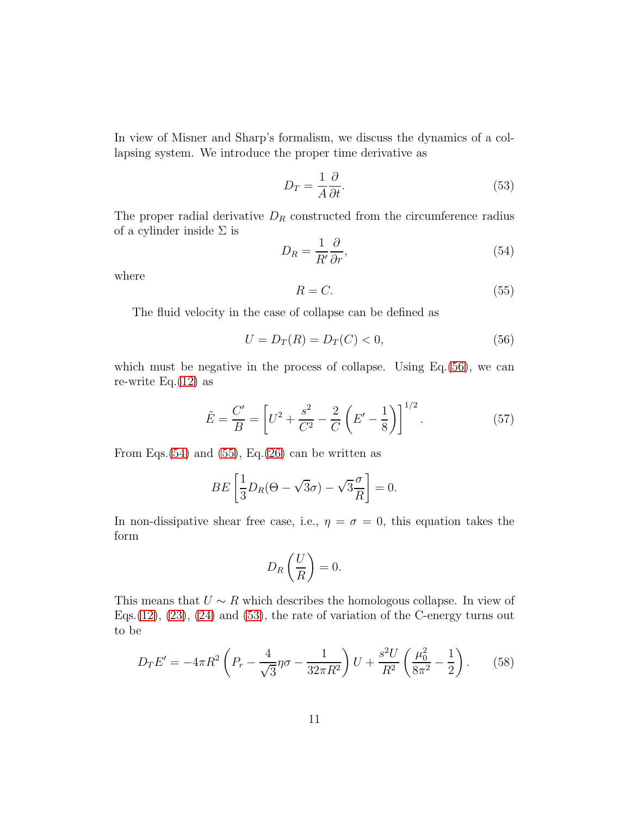In view of Misner and Sharp's formalism, we discuss the dynamics of a collapsing system. We introduce the proper time derivative as

<span id="page-10-3"></span>
$$
D_T = \frac{1}{A} \frac{\partial}{\partial t}.\tag{53}
$$

The proper radial derivative  $D_R$  constructed from the circumference radius of a cylinder inside  $\Sigma$  is

<span id="page-10-1"></span>
$$
D_R = \frac{1}{R'} \frac{\partial}{\partial r},\tag{54}
$$

where

<span id="page-10-2"></span>
$$
R = C.\t\t(55)
$$

The fluid velocity in the case of collapse can be defined as

<span id="page-10-0"></span>
$$
U = D_T(R) = D_T(C) < 0,\tag{56}
$$

which must be negative in the process of collapse. Using Eq.[\(56\)](#page-10-0), we can re-write Eq. $(12)$  as

<span id="page-10-5"></span>
$$
\tilde{E} = \frac{C'}{B} = \left[ U^2 + \frac{s^2}{C^2} - \frac{2}{C} \left( E' - \frac{1}{8} \right) \right]^{1/2}.
$$
\n(57)

From Eqs. $(54)$  and  $(55)$ , Eq. $(26)$  can be written as

$$
BE\left[\frac{1}{3}D_R(\Theta - \sqrt{3}\sigma) - \sqrt{3}\frac{\sigma}{R}\right] = 0.
$$

In non-dissipative shear free case, i.e.,  $\eta = \sigma = 0$ , this equation takes the form

$$
D_R\left(\frac{U}{R}\right) = 0.
$$

This means that  $U \sim R$  which describes the homologous collapse. In view of Eqs.  $(12)$ ,  $(23)$ ,  $(24)$  and  $(53)$ , the rate of variation of the C-energy turns out to be

<span id="page-10-4"></span>
$$
D_T E' = -4\pi R^2 \left( P_r - \frac{4}{\sqrt{3}} \eta \sigma - \frac{1}{32\pi R^2} \right) U + \frac{s^2 U}{R^2} \left( \frac{\mu_0^2}{8\pi^2} - \frac{1}{2} \right). \tag{58}
$$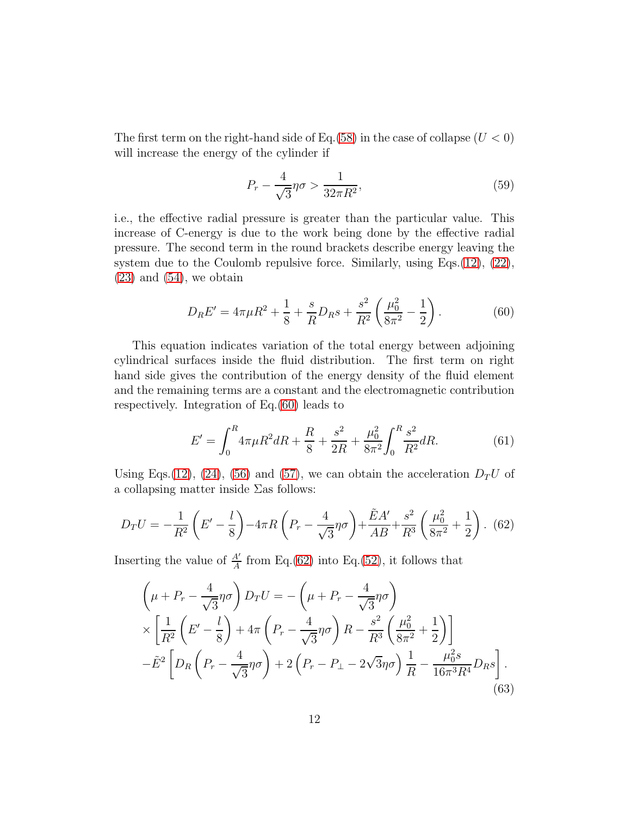The first term on the right-hand side of Eq. [\(58\)](#page-10-4) in the case of collapse  $(U < 0)$ will increase the energy of the cylinder if

$$
P_r - \frac{4}{\sqrt{3}}\eta\sigma > \frac{1}{32\pi R^2},\tag{59}
$$

i.e., the effective radial pressure is greater than the particular value. This increase of C-energy is due to the work being done by the effective radial pressure. The second term in the round brackets describe energy leaving the system due to the Coulomb repulsive force. Similarly, using Eqs.  $(12)$ ,  $(22)$ ,  $(23)$  and  $(54)$ , we obtain

<span id="page-11-0"></span>
$$
D_R E' = 4\pi \mu R^2 + \frac{1}{8} + \frac{s}{R} D_R s + \frac{s^2}{R^2} \left(\frac{\mu_0^2}{8\pi^2} - \frac{1}{2}\right). \tag{60}
$$

This equation indicates variation of the total energy between adjoining cylindrical surfaces inside the fluid distribution. The first term on right hand side gives the contribution of the energy density of the fluid element and the remaining terms are a constant and the electromagnetic contribution respectively. Integration of Eq.[\(60\)](#page-11-0) leads to

<span id="page-11-2"></span>
$$
E' = \int_0^R 4\pi\mu R^2 dR + \frac{R}{8} + \frac{s^2}{2R} + \frac{\mu_0^2}{8\pi^2} \int_0^R \frac{s^2}{R^2} dR.
$$
 (61)

Using Eqs.[\(12\)](#page-4-0), [\(24\)](#page-6-0), [\(56\)](#page-10-0) and [\(57\)](#page-10-5), we can obtain the acceleration  $D_T U$  of a collapsing matter inside  $\Sigma$ as follows:

<span id="page-11-1"></span>
$$
D_T U = -\frac{1}{R^2} \left( E' - \frac{l}{8} \right) - 4\pi R \left( P_r - \frac{4}{\sqrt{3}} \eta \sigma \right) + \frac{\tilde{E}A'}{AB} + \frac{s^2}{R^3} \left( \frac{\mu_0^2}{8\pi^2} + \frac{1}{2} \right). \tag{62}
$$

Inserting the value of  $\frac{A'}{A}$  from Eq.[\(62\)](#page-11-1) into Eq.[\(52\)](#page-9-3), it follows that

<span id="page-11-3"></span>
$$
\left(\mu + P_r - \frac{4}{\sqrt{3}}\eta\sigma\right)D_TU = -\left(\mu + P_r - \frac{4}{\sqrt{3}}\eta\sigma\right)
$$
  
 
$$
\times \left[\frac{1}{R^2}\left(E' - \frac{l}{8}\right) + 4\pi\left(P_r - \frac{4}{\sqrt{3}}\eta\sigma\right)R - \frac{s^2}{R^3}\left(\frac{\mu_0^2}{8\pi^2} + \frac{1}{2}\right)\right]
$$
  
 
$$
-\tilde{E}^2\left[D_R\left(P_r - \frac{4}{\sqrt{3}}\eta\sigma\right) + 2\left(P_r - P_\perp - 2\sqrt{3}\eta\sigma\right)\frac{1}{R} - \frac{\mu_0^2 s}{16\pi^3 R^4}D_R s\right].
$$
 (63)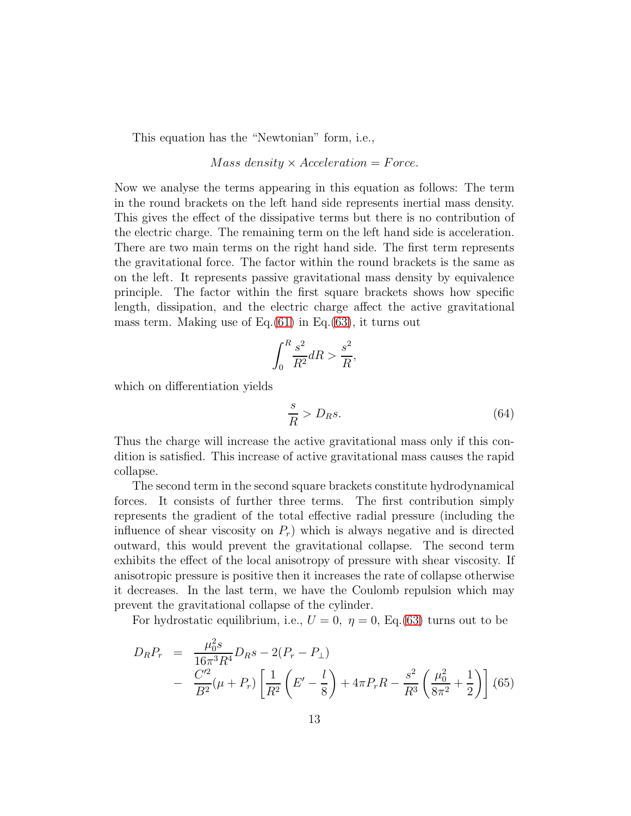This equation has the "Newtonian" form, i.e.,

#### $Mass density \times Acceleration = Force.$

Now we analyse the terms appearing in this equation as follows: The term in the round brackets on the left hand side represents inertial mass density. This gives the effect of the dissipative terms but there is no contribution of the electric charge. The remaining term on the left hand side is acceleration. There are two main terms on the right hand side. The first term represents the gravitational force. The factor within the round brackets is the same as on the left. It represents passive gravitational mass density by equivalence principle. The factor within the first square brackets shows how specific length, dissipation, and the electric charge affect the active gravitational mass term. Making use of Eq. $(61)$  in Eq. $(63)$ , it turns out

$$
\int_0^R \frac{s^2}{R^2} dR > \frac{s^2}{R},
$$

which on differentiation yields

$$
\frac{s}{R} > D_R s. \tag{64}
$$

Thus the charge will increase the active gravitational mass only if this condition is satisfied. This increase of active gravitational mass causes the rapid collapse.

The second term in the second square brackets constitute hydrodynamical forces. It consists of further three terms. The first contribution simply represents the gradient of the total effective radial pressure (including the influence of shear viscosity on  $P_r$ ) which is always negative and is directed outward, this would prevent the gravitational collapse. The second term exhibits the effect of the local anisotropy of pressure with shear viscosity. If anisotropic pressure is positive then it increases the rate of collapse otherwise it decreases. In the last term, we have the Coulomb repulsion which may prevent the gravitational collapse of the cylinder.

For hydrostatic equilibrium, i.e.,  $U = 0$ ,  $\eta = 0$ , Eq.[\(63\)](#page-11-3) turns out to be

$$
D_R P_r = \frac{\mu_0^2 s}{16\pi^3 R^4} D_R s - 2(P_r - P_\perp)
$$
  
- 
$$
\frac{C'^2}{B^2} (\mu + P_r) \left[ \frac{1}{R^2} \left( E' - \frac{l}{8} \right) + 4\pi P_r R - \frac{s^2}{R^3} \left( \frac{\mu_0^2}{8\pi^2} + \frac{1}{2} \right) \right] (65)
$$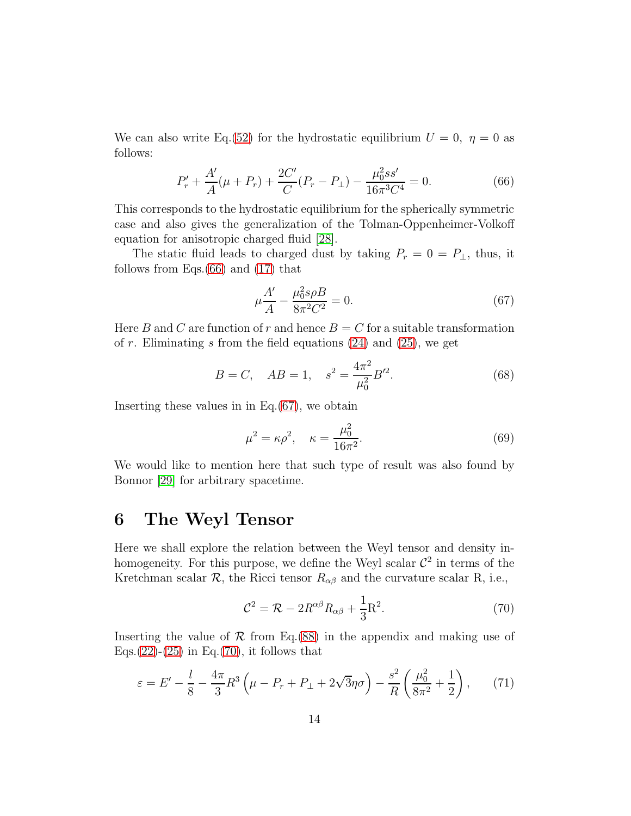We can also write Eq. [\(52\)](#page-9-3) for the hydrostatic equilibrium  $U = 0$ ,  $\eta = 0$  as follows:

<span id="page-13-0"></span>
$$
P'_r + \frac{A'}{A}(\mu + P_r) + \frac{2C'}{C}(P_r - P_\perp) - \frac{\mu_0^2 ss'}{16\pi^3 C^4} = 0.
$$
 (66)

This corresponds to the hydrostatic equilibrium for the spherically symmetric case and also gives the generalization of the Tolman-Oppenheimer-Volkoff equation for anisotropic charged fluid [\[28\]](#page-18-7).

The static fluid leads to charged dust by taking  $P_r = 0 = P_{\perp}$ , thus, it follows from Eqs.[\(66\)](#page-13-0) and [\(17\)](#page-5-3) that

<span id="page-13-1"></span>
$$
\mu \frac{A'}{A} - \frac{\mu_0^2 s \rho B}{8\pi^2 C^2} = 0.
$$
\n(67)

Here B and C are function of r and hence  $B = C$  for a suitable transformation of r. Eliminating s from the field equations  $(24)$  and  $(25)$ , we get

$$
B = C, AB = 1, s2 = \frac{4\pi^2}{\mu_0^2} B'^2.
$$
 (68)

Inserting these values in in Eq. $(67)$ , we obtain

$$
\mu^2 = \kappa \rho^2, \quad \kappa = \frac{\mu_0^2}{16\pi^2}.
$$
\n(69)

We would like to mention here that such type of result was also found by Bonnor [\[29\]](#page-18-8) for arbitrary spacetime.

### 6 The Weyl Tensor

Here we shall explore the relation between the Weyl tensor and density inhomogeneity. For this purpose, we define the Weyl scalar  $\mathcal{C}^2$  in terms of the Kretchman scalar  $\mathcal{R}$ , the Ricci tensor  $R_{\alpha\beta}$  and the curvature scalar R, i.e.,

<span id="page-13-2"></span>
$$
\mathcal{C}^2 = \mathcal{R} - 2R^{\alpha\beta}R_{\alpha\beta} + \frac{1}{3}R^2.
$$
 (70)

Inserting the value of  $\mathcal R$  from Eq.[\(88\)](#page-16-1) in the appendix and making use of Eqs.[\(22\)](#page-6-0)-[\(25\)](#page-6-0) in Eq.[\(70\)](#page-13-2), it follows that

<span id="page-13-3"></span>
$$
\varepsilon = E' - \frac{l}{8} - \frac{4\pi}{3} R^3 \left( \mu - P_r + P_\perp + 2\sqrt{3}\eta \sigma \right) - \frac{s^2}{R} \left( \frac{\mu_0^2}{8\pi^2} + \frac{1}{2} \right), \tag{71}
$$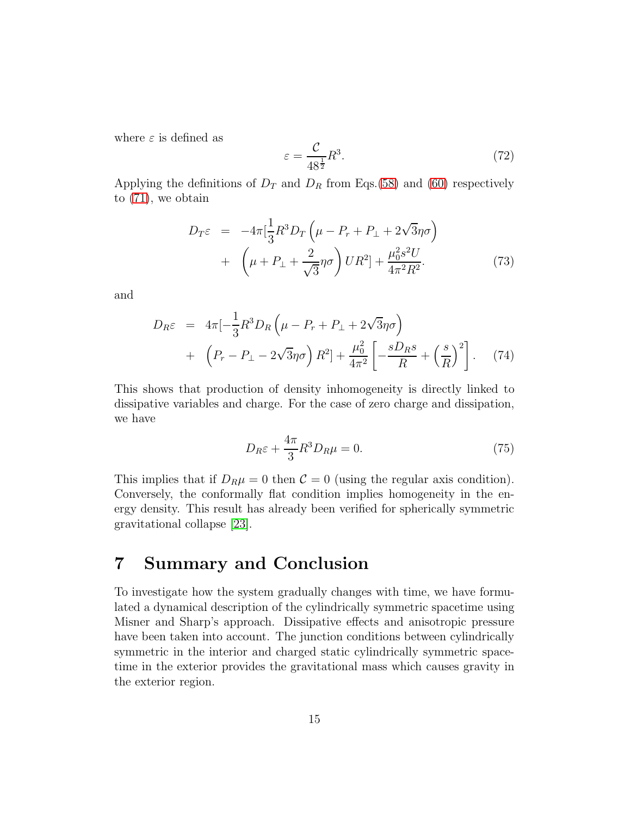where  $\varepsilon$  is defined as

$$
\varepsilon = \frac{\mathcal{C}}{48^{\frac{1}{2}}} R^3. \tag{72}
$$

Applying the definitions of  $D_T$  and  $D_R$  from Eqs.[\(58\)](#page-10-4) and [\(60\)](#page-11-0) respectively to [\(71\)](#page-13-3), we obtain

$$
D_{T}\varepsilon = -4\pi \left[\frac{1}{3}R^{3}D_{T}\left(\mu - P_{r} + P_{\perp} + 2\sqrt{3}\eta\sigma\right) + \left(\mu + P_{\perp} + \frac{2}{\sqrt{3}}\eta\sigma\right)UR^{2}\right] + \frac{\mu_{0}^{2}s^{2}U}{4\pi^{2}R^{2}}.
$$
 (73)

and

$$
D_{R}\varepsilon = 4\pi \left[ -\frac{1}{3}R^{3}D_{R}\left(\mu - P_{r} + P_{\perp} + 2\sqrt{3}\eta\sigma\right) + \left(P_{r} - P_{\perp} - 2\sqrt{3}\eta\sigma\right)R^{2}\right] + \frac{\mu_{0}^{2}}{4\pi^{2}}\left[ -\frac{sD_{R}s}{R} + \left(\frac{s}{R}\right)^{2} \right].
$$
 (74)

This shows that production of density inhomogeneity is directly linked to dissipative variables and charge. For the case of zero charge and dissipation, we have

$$
D_R \varepsilon + \frac{4\pi}{3} R^3 D_R \mu = 0. \tag{75}
$$

This implies that if  $D_R\mu = 0$  then  $\mathcal{C} = 0$  (using the regular axis condition). Conversely, the conformally flat condition implies homogeneity in the energy density. This result has already been verified for spherically symmetric gravitational collapse [\[23\]](#page-18-2).

#### 7 Summary and Conclusion

To investigate how the system gradually changes with time, we have formulated a dynamical description of the cylindrically symmetric spacetime using Misner and Sharp's approach. Dissipative effects and anisotropic pressure have been taken into account. The junction conditions between cylindrically symmetric in the interior and charged static cylindrically symmetric spacetime in the exterior provides the gravitational mass which causes gravity in the exterior region.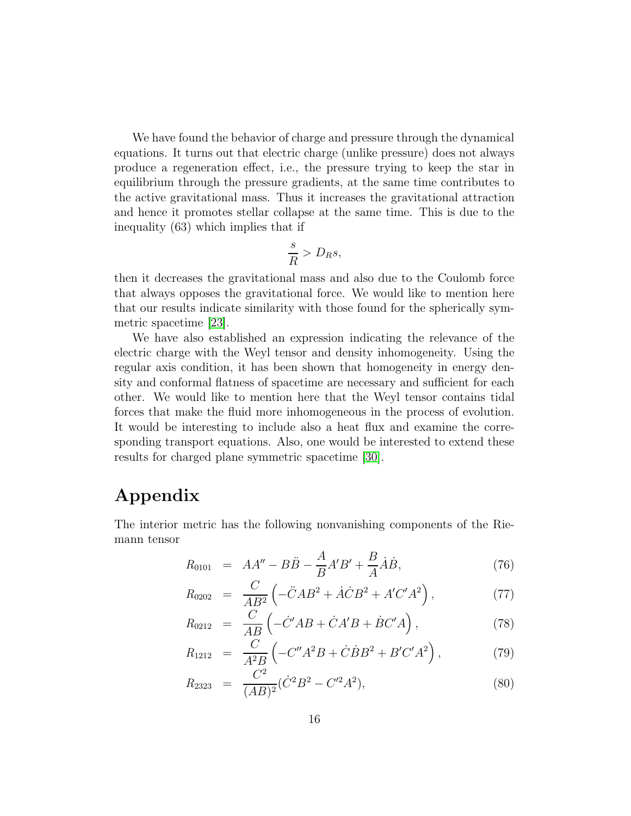We have found the behavior of charge and pressure through the dynamical equations. It turns out that electric charge (unlike pressure) does not always produce a regeneration effect, i.e., the pressure trying to keep the star in equilibrium through the pressure gradients, at the same time contributes to the active gravitational mass. Thus it increases the gravitational attraction and hence it promotes stellar collapse at the same time. This is due to the inequality (63) which implies that if

$$
\frac{s}{R} > D_R s,
$$

then it decreases the gravitational mass and also due to the Coulomb force that always opposes the gravitational force. We would like to mention here that our results indicate similarity with those found for the spherically symmetric spacetime [\[23\]](#page-18-2).

We have also established an expression indicating the relevance of the electric charge with the Weyl tensor and density inhomogeneity. Using the regular axis condition, it has been shown that homogeneity in energy density and conformal flatness of spacetime are necessary and sufficient for each other. We would like to mention here that the Weyl tensor contains tidal forces that make the fluid more inhomogeneous in the process of evolution. It would be interesting to include also a heat flux and examine the corresponding transport equations. Also, one would be interested to extend these results for charged plane symmetric spacetime [\[30\]](#page-18-9).

## Appendix

The interior metric has the following nonvanishing components of the Riemann tensor

$$
R_{0101} = AA'' - B\ddot{B} - \frac{A}{B}A'B' + \frac{B}{A}\dot{A}\dot{B},
$$
\n(76)

$$
R_{0202} = \frac{C}{AB^2} \left( -\ddot{C}AB^2 + \dot{A}\dot{C}B^2 + A'C'A^2 \right), \tag{77}
$$

$$
R_{0212} = \frac{C}{AB} \left( -\dot{C}'AB + \dot{C}A'B + \dot{B}C'A \right), \qquad (78)
$$

$$
R_{1212} = \frac{C}{A^2 B} \left( -C''A^2 B + \dot{C} \dot{B} B^2 + B'C'A^2 \right), \tag{79}
$$

$$
R_{2323} = \frac{C^2}{(AB)^2} (\dot{C}^2 B^2 - C'^2 A^2), \tag{80}
$$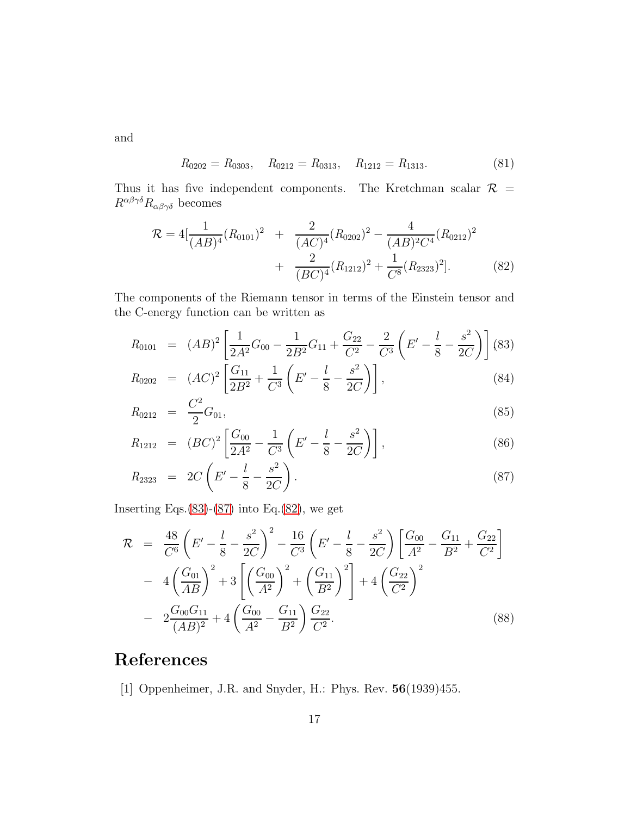and

$$
R_{0202} = R_{0303}, \quad R_{0212} = R_{0313}, \quad R_{1212} = R_{1313}.
$$
 (81)

Thus it has five independent components. The Kretchman scalar  $\mathcal{R}$  =  $R^{\alpha\beta\gamma\delta}R_{\alpha\beta\gamma\delta}$  becomes

<span id="page-16-3"></span>
$$
\mathcal{R} = 4\left[\frac{1}{(AB)^4}(R_{0101})^2 + \frac{2}{(AC)^4}(R_{0202})^2 - \frac{4}{(AB)^2C^4}(R_{0212})^2 + \frac{2}{(BC)^4}(R_{1212})^2 + \frac{1}{C^8}(R_{2323})^2\right].
$$
\n(82)

The components of the Riemann tensor in terms of the Einstein tensor and the C-energy function can be written as

<span id="page-16-2"></span>
$$
R_{0101} = (AB)^2 \left[ \frac{1}{2A^2} G_{00} - \frac{1}{2B^2} G_{11} + \frac{G_{22}}{C^2} - \frac{2}{C^3} \left( E' - \frac{l}{8} - \frac{s^2}{2C} \right) \right] (83)
$$
\n
$$
R_{0101} = (AC)^2 \left[ G_{11} - \frac{1}{2} \left( E' - \frac{l}{8} - \frac{s^2}{2C} \right) \right] (84)
$$

$$
R_{0202} = (AC)^2 \left[ \frac{G_{11}}{2B^2} + \frac{1}{C^3} \left( E' - \frac{l}{8} - \frac{s^2}{2C} \right) \right],
$$
\n(84)

$$
R_{0212} = \frac{C^2}{2} G_{01}, \tag{85}
$$

$$
R_{1212} = (BC)^2 \left[ \frac{G_{00}}{2A^2} - \frac{1}{C^3} \left( E' - \frac{l}{8} - \frac{s^2}{2C} \right) \right],
$$
 (86)

$$
R_{2323} = 2C\left(E' - \frac{l}{8} - \frac{s^2}{2C}\right). \tag{87}
$$

Inserting Eqs. $(83)-(87)$  $(83)-(87)$  $(83)-(87)$  into Eq. $(82)$ , we get

<span id="page-16-1"></span>
$$
\mathcal{R} = \frac{48}{C^6} \left( E' - \frac{l}{8} - \frac{s^2}{2C} \right)^2 - \frac{16}{C^3} \left( E' - \frac{l}{8} - \frac{s^2}{2C} \right) \left[ \frac{G_{00}}{A^2} - \frac{G_{11}}{B^2} + \frac{G_{22}}{C^2} \right] \n- 4 \left( \frac{G_{01}}{AB} \right)^2 + 3 \left[ \left( \frac{G_{00}}{A^2} \right)^2 + \left( \frac{G_{11}}{B^2} \right)^2 \right] + 4 \left( \frac{G_{22}}{C^2} \right)^2 \n- 2 \frac{G_{00} G_{11}}{(AB)^2} + 4 \left( \frac{G_{00}}{A^2} - \frac{G_{11}}{B^2} \right) \frac{G_{22}}{C^2}.
$$
\n(88)

# <span id="page-16-0"></span>References

[1] Oppenheimer, J.R. and Snyder, H.: Phys. Rev. 56(1939)455.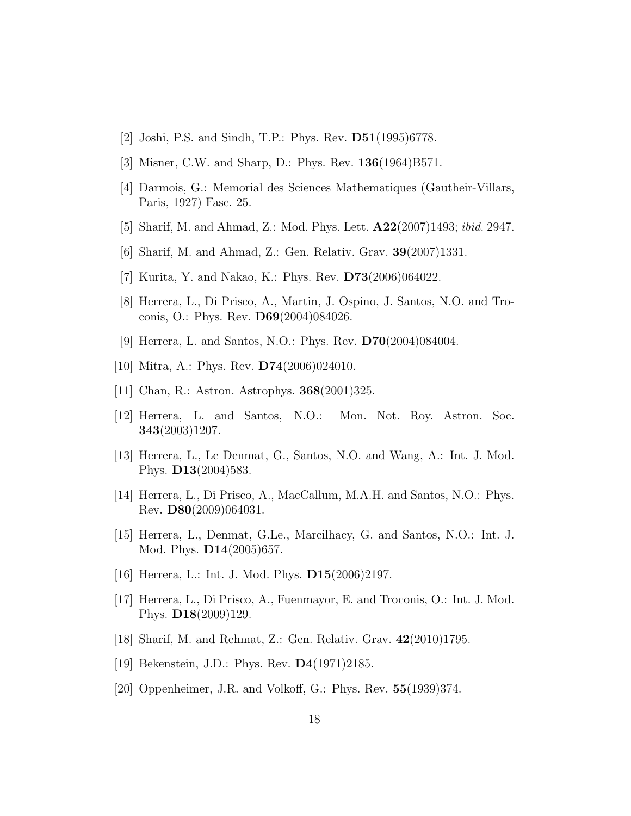- <span id="page-17-1"></span><span id="page-17-0"></span>[2] Joshi, P.S. and Sindh, T.P.: Phys. Rev. D51(1995)6778.
- <span id="page-17-2"></span>[3] Misner, C.W. and Sharp, D.: Phys. Rev. 136(1964)B571.
- <span id="page-17-3"></span>[4] Darmois, G.: Memorial des Sciences Mathematiques (Gautheir-Villars, Paris, 1927) Fasc. 25.
- <span id="page-17-4"></span>[5] Sharif, M. and Ahmad, Z.: Mod. Phys. Lett. A22(2007)1493; ibid. 2947.
- <span id="page-17-5"></span>[6] Sharif, M. and Ahmad, Z.: Gen. Relativ. Grav. 39(2007)1331.
- <span id="page-17-6"></span>[7] Kurita, Y. and Nakao, K.: Phys. Rev. D73(2006)064022.
- <span id="page-17-11"></span>[8] Herrera, L., Di Prisco, A., Martin, J. Ospino, J. Santos, N.O. and Troconis, O.: Phys. Rev. D69(2004)084026.
- <span id="page-17-7"></span>[9] Herrera, L. and Santos, N.O.: Phys. Rev. D70(2004)084004.
- <span id="page-17-8"></span>[10] Mitra, A.: Phys. Rev. D74(2006)024010.
- <span id="page-17-9"></span>[11] Chan, R.: Astron. Astrophys. 368(2001)325.
- [12] Herrera, L. and Santos, N.O.: Mon. Not. Roy. Astron. Soc. 343(2003)1207.
- <span id="page-17-10"></span>[13] Herrera, L., Le Denmat, G., Santos, N.O. and Wang, A.: Int. J. Mod. Phys. D13(2004)583.
- [14] Herrera, L., Di Prisco, A., MacCallum, M.A.H. and Santos, N.O.: Phys. Rev. D80(2009)064031.
- <span id="page-17-12"></span>[15] Herrera, L., Denmat, G.Le., Marcilhacy, G. and Santos, N.O.: Int. J. Mod. Phys. D14(2005)657.
- <span id="page-17-14"></span><span id="page-17-13"></span>[16] Herrera, L.: Int. J. Mod. Phys. D15(2006)2197.
- [17] Herrera, L., Di Prisco, A., Fuenmayor, E. and Troconis, O.: Int. J. Mod. Phys. D18(2009)129.
- <span id="page-17-16"></span><span id="page-17-15"></span>[18] Sharif, M. and Rehmat, Z.: Gen. Relativ. Grav. 42(2010)1795.
- <span id="page-17-17"></span>[19] Bekenstein, J.D.: Phys. Rev. **D4**(1971)2185.
- [20] Oppenheimer, J.R. and Volkoff, G.: Phys. Rev. **55**(1939)374.